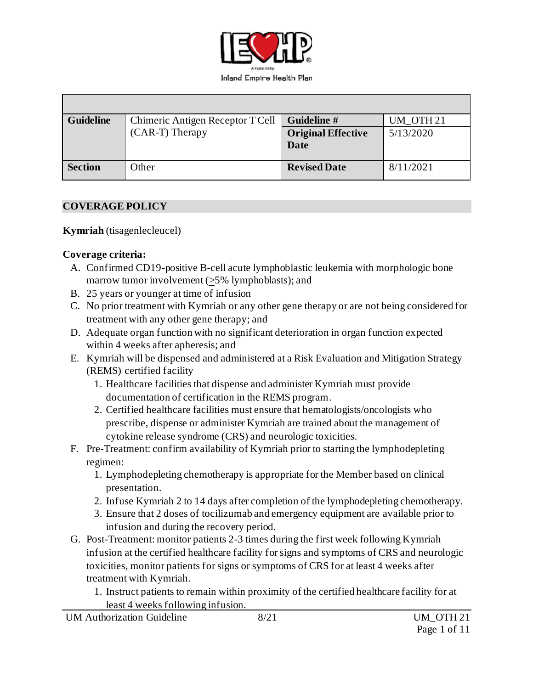

| <b>Guideline</b> | Chimeric Antigen Receptor T Cell | Guideline #               | UM OTH <sub>21</sub> |
|------------------|----------------------------------|---------------------------|----------------------|
|                  | (CAR-T) Therapy                  | <b>Original Effective</b> | 5/13/2020            |
|                  |                                  | Date                      |                      |
|                  |                                  |                           |                      |
| <b>Section</b>   | Other                            | <b>Revised Date</b>       | 8/11/2021            |
|                  |                                  |                           |                      |

### **COVERAGE POLICY**

**Kymriah** (tisagenlecleucel)

#### **Coverage criteria:**

- A. Confirmed CD19-positive B-cell acute lymphoblastic leukemia with morphologic bone marrow tumor involvement (>5% lymphoblasts); and
- B. 25 years or younger at time of infusion
- C. No prior treatment with Kymriah or any other gene therapy or are not being considered for treatment with any other gene therapy; and
- D. Adequate organ function with no significant deterioration in organ function expected within 4 weeks after apheresis; and
- E. Kymriah will be dispensed and administered at a Risk Evaluation and Mitigation Strategy (REMS) certified facility
	- 1. Healthcare facilities that dispense and administer Kymriah must provide documentation of certification in the REMS program.
	- 2. Certified healthcare facilities must ensure that hematologists/oncologists who prescribe, dispense or administer Kymriah are trained about the management of cytokine release syndrome (CRS) and neurologic toxicities.
- F. Pre-Treatment: confirm availability of Kymriah prior to starting the lymphodepleting regimen:
	- 1. Lymphodepleting chemotherapy is appropriate for the Member based on clinical presentation.
	- 2. Infuse Kymriah 2 to 14 days after completion of the lymphodepleting chemotherapy.
	- 3. Ensure that 2 doses of tocilizumab and emergency equipment are available prior to infusion and during the recovery period.
- G. Post-Treatment: monitor patients 2-3 times during the first week following Kymriah infusion at the certified healthcare facility for signs and symptoms of CRS and neurologic toxicities, monitor patients for signs or symptoms of CRS for at least 4 weeks after treatment with Kymriah.
	- 1. Instruct patients to remain within proximity of the certified healthcare facility for at least 4 weeks following infusion.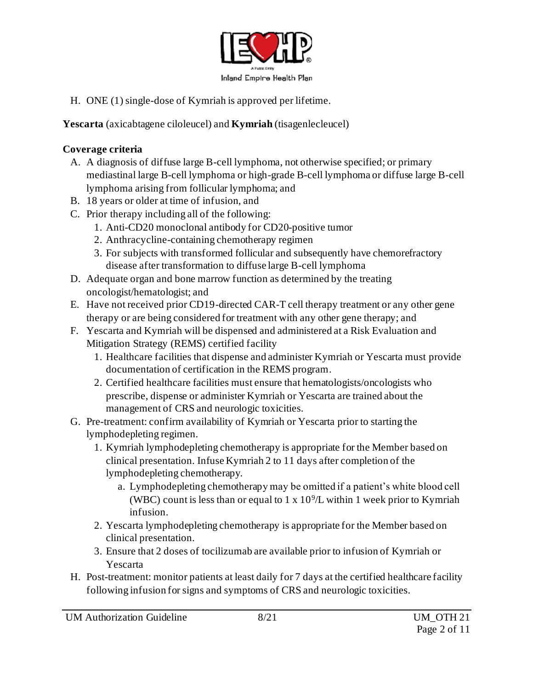

H. ONE (1) single-dose of Kymriah is approved per lifetime.

**Yescarta** (axicabtagene ciloleucel) and **Kymriah** (tisagenlecleucel)

### **Coverage criteria**

- A. A diagnosis of diffuse large B-cell lymphoma, not otherwise specified; or primary mediastinal large B-cell lymphoma or high-grade B-cell lymphoma or diffuse large B-cell lymphoma arising from follicular lymphoma; and
- B. 18 years or older at time of infusion, and
- C. Prior therapy including all of the following:
	- 1. Anti-CD20 monoclonal antibody for CD20-positive tumor
	- 2. Anthracycline-containing chemotherapy regimen
	- 3. For subjects with transformed follicular and subsequently have chemorefractory disease after transformation to diffuse large B-cell lymphoma
- D. Adequate organ and bone marrow function as determined by the treating oncologist/hematologist; and
- E. Have not received prior CD19-directed CAR-T cell therapy treatment or any other gene therapy or are being considered for treatment with any other gene therapy; and
- F. Yescarta and Kymriah will be dispensed and administered at a Risk Evaluation and Mitigation Strategy (REMS) certified facility
	- 1. Healthcare facilities that dispense and administer Kymriah or Yescarta must provide documentation of certification in the REMS program.
	- 2. Certified healthcare facilities must ensure that hematologists/oncologists who prescribe, dispense or administer Kymriah or Yescarta are trained about the management of CRS and neurologic toxicities.
- G. Pre-treatment: confirm availability of Kymriah or Yescarta prior to starting the lymphodepleting regimen.
	- 1. Kymriah lymphodepleting chemotherapy is appropriate for the Member based on clinical presentation. Infuse Kymriah 2 to 11 days after completion of the lymphodepleting chemotherapy.
		- a. Lymphodepleting chemotherapy may be omitted if a patient's white blood cell (WBC) count is less than or equal to  $1 \times 10^9$ /L within 1 week prior to Kymriah infusion.
	- 2. Yescarta lymphodepleting chemotherapy is appropriate for the Member based on clinical presentation.
	- 3. Ensure that 2 doses of tocilizumab are available prior to infusion of Kymriah or Yescarta
- H. Post-treatment: monitor patients at least daily for 7 days at the certified healthcare facility following infusion for signs and symptoms of CRS and neurologic toxicities.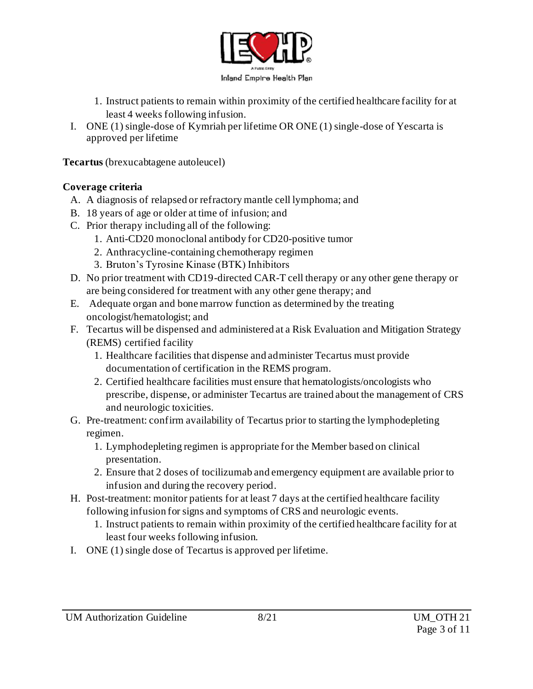

- 1. Instruct patients to remain within proximity of the certified healthcare facility for at least 4 weeks following infusion.
- I. ONE (1) single-dose of Kymriah per lifetime OR ONE (1) single-dose of Yescarta is approved per lifetime

**Tecartus** (brexucabtagene autoleucel)

### **Coverage criteria**

- A. A diagnosis of relapsed or refractory mantle cell lymphoma; and
- B. 18 years of age or older at time of infusion; and
- C. Prior therapy including all of the following:
	- 1. Anti-CD20 monoclonal antibody for CD20-positive tumor
	- 2. Anthracycline-containing chemotherapy regimen
	- 3. Bruton's Tyrosine Kinase (BTK) Inhibitors
- D. No prior treatment with CD19-directed CAR-T cell therapy or any other gene therapy or are being considered for treatment with any other gene therapy; and
- E. Adequate organ and bone marrow function as determined by the treating oncologist/hematologist; and
- F. Tecartus will be dispensed and administered at a Risk Evaluation and Mitigation Strategy (REMS) certified facility
	- 1. Healthcare facilities that dispense and administer Tecartus must provide documentation of certification in the REMS program.
	- 2. Certified healthcare facilities must ensure that hematologists/oncologists who prescribe, dispense, or administer Tecartus are trained about the management of CRS and neurologic toxicities.
- G. Pre-treatment: confirm availability of Tecartus prior to starting the lymphodepleting regimen.
	- 1. Lymphodepleting regimen is appropriate for the Member based on clinical presentation.
	- 2. Ensure that 2 doses of tocilizumab and emergency equipment are available prior to infusion and during the recovery period.
- H. Post-treatment: monitor patients for at least 7 days at the certified healthcare facility following infusion for signs and symptoms of CRS and neurologic events.
	- 1. Instruct patients to remain within proximity of the certified healthcare facility for at least four weeks following infusion.
- I. ONE (1) single dose of Tecartus is approved per lifetime.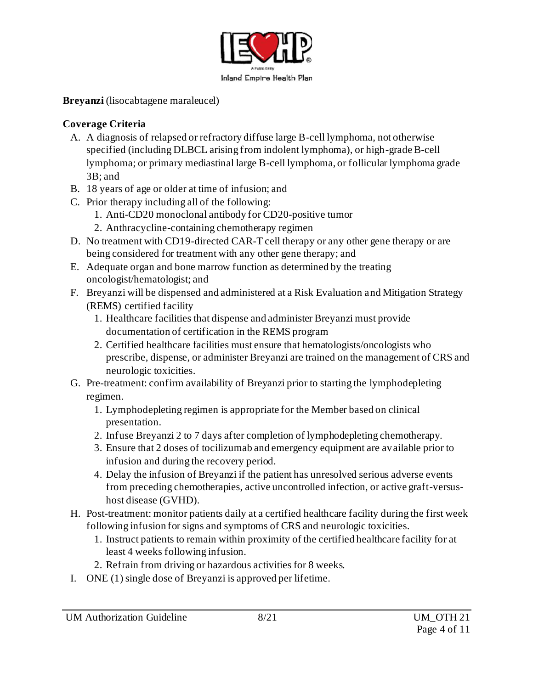

**Breyanzi** (lisocabtagene maraleucel)

# **Coverage Criteria**

- A. A diagnosis of relapsed or refractory diffuse large B-cell lymphoma, not otherwise specified (including DLBCL arising from indolent lymphoma), or high-grade B-cell lymphoma; or primary mediastinal large B-cell lymphoma, or follicular lymphoma grade 3B; and
- B. 18 years of age or older at time of infusion; and
- C. Prior therapy including all of the following:
	- 1. Anti-CD20 monoclonal antibody for CD20-positive tumor
	- 2. Anthracycline-containing chemotherapy regimen
- D. No treatment with CD19-directed CAR-T cell therapy or any other gene therapy or are being considered for treatment with any other gene therapy; and
- E. Adequate organ and bone marrow function as determined by the treating oncologist/hematologist; and
- F. Breyanzi will be dispensed and administered at a Risk Evaluation and Mitigation Strategy (REMS) certified facility
	- 1. Healthcare facilities that dispense and administer Breyanzi must provide documentation of certification in the REMS program
	- 2. Certified healthcare facilities must ensure that hematologists/oncologists who prescribe, dispense, or administer Breyanzi are trained on the management of CRS and neurologic toxicities.
- G. Pre-treatment: confirm availability of Breyanzi prior to starting the lymphodepleting regimen.
	- 1. Lymphodepleting regimen is appropriate for the Member based on clinical presentation.
	- 2. Infuse Breyanzi 2 to 7 days after completion of lymphodepleting chemotherapy.
	- 3. Ensure that 2 doses of tocilizumab and emergency equipment are available prior to infusion and during the recovery period.
	- 4. Delay the infusion of Breyanzi if the patient has unresolved serious adverse events from preceding chemotherapies, active uncontrolled infection, or active graft-versushost disease (GVHD).
- H. Post-treatment: monitor patients daily at a certified healthcare facility during the first week following infusion for signs and symptoms of CRS and neurologic toxicities.
	- 1. Instruct patients to remain within proximity of the certified healthcare facility for at least 4 weeks following infusion.
	- 2. Refrain from driving or hazardous activities for 8 weeks.
- I. ONE (1) single dose of Breyanzi is approved per lifetime.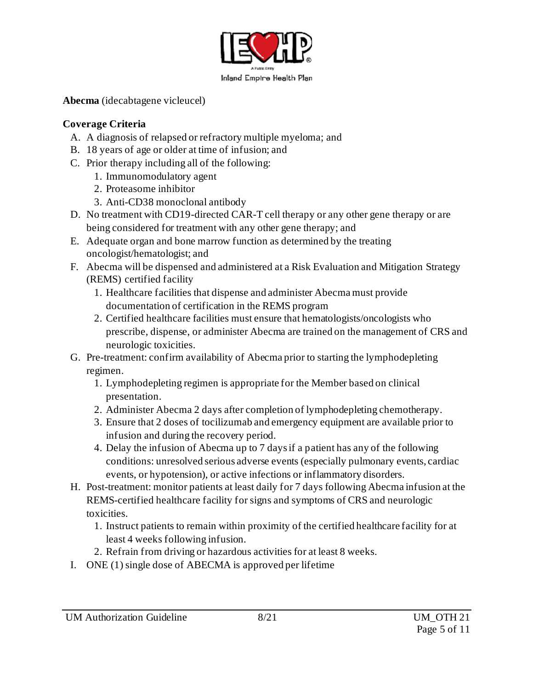

**Abecma** (idecabtagene vicleucel)

# **Coverage Criteria**

- A. A diagnosis of relapsed or refractory multiple myeloma; and
- B. 18 years of age or older at time of infusion; and
- C. Prior therapy including all of the following:
	- 1. Immunomodulatory agent
	- 2. Proteasome inhibitor
	- 3. Anti-CD38 monoclonal antibody
- D. No treatment with CD19-directed CAR-T cell therapy or any other gene therapy or are being considered for treatment with any other gene therapy; and
- E. Adequate organ and bone marrow function as determined by the treating oncologist/hematologist; and
- F. Abecma will be dispensed and administered at a Risk Evaluation and Mitigation Strategy (REMS) certified facility
	- 1. Healthcare facilities that dispense and administer Abecma must provide documentation of certification in the REMS program
	- 2. Certified healthcare facilities must ensure that hematologists/oncologists who prescribe, dispense, or administer Abecma are trained on the management of CRS and neurologic toxicities.
- G. Pre-treatment: confirm availability of Abecma prior to starting the lymphodepleting regimen.
	- 1. Lymphodepleting regimen is appropriate for the Member based on clinical presentation.
	- 2. Administer Abecma 2 days after completion of lymphodepleting chemotherapy.
	- 3. Ensure that 2 doses of tocilizumab and emergency equipment are available prior to infusion and during the recovery period.
	- 4. Delay the infusion of Abecma up to 7 days if a patient has any of the following conditions: unresolved serious adverse events (especially pulmonary events, cardiac events, or hypotension), or active infections or inflammatory disorders.
- H. Post-treatment: monitor patients at least daily for 7 days following Abecma infusion at the REMS-certified healthcare facility for signs and symptoms of CRS and neurologic toxicities.
	- 1. Instruct patients to remain within proximity of the certified healthcare facility for at least 4 weeks following infusion.
	- 2. Refrain from driving or hazardous activities for at least 8 weeks.
- I. ONE (1) single dose of ABECMA is approved per lifetime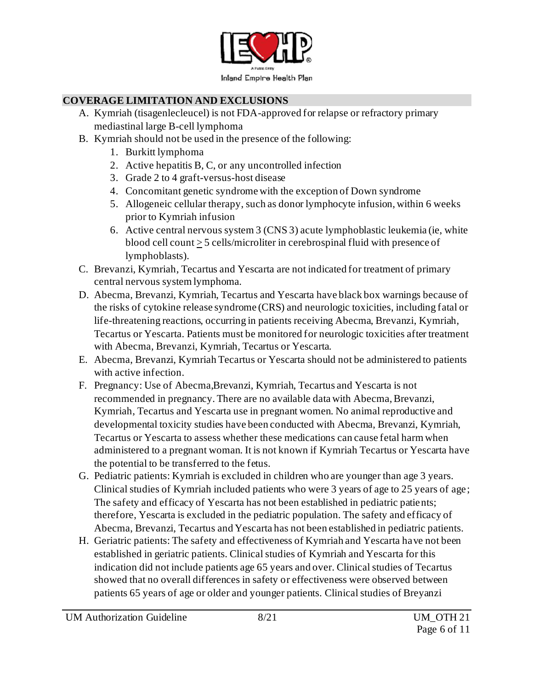

# **COVERAGE LIMITATION AND EXCLUSIONS**

- A. Kymriah (tisagenlecleucel) is not FDA-approved for relapse or refractory primary mediastinal large B-cell lymphoma
- B. Kymriah should not be used in the presence of the following:
	- 1. Burkitt lymphoma
	- 2. Active hepatitis B, C, or any uncontrolled infection
	- 3. Grade 2 to 4 graft-versus-host disease
	- 4. Concomitant genetic syndrome with the exception of Down syndrome
	- 5. Allogeneic cellular therapy, such as donor lymphocyte infusion, within 6 weeks prior to Kymriah infusion
	- 6. Active central nervous system 3 (CNS 3) acute lymphoblastic leukemia (ie, white blood cell count  $\geq$  5 cells/microliter in cerebrospinal fluid with presence of lymphoblasts).
- C. Brevanzi, Kymriah, Tecartus and Yescarta are not indicated for treatment of primary central nervous system lymphoma.
- D. Abecma, Brevanzi, Kymriah, Tecartus and Yescarta have black box warnings because of the risks of cytokine release syndrome (CRS) and neurologic toxicities, including fatal or life-threatening reactions, occurring in patients receiving Abecma, Brevanzi, Kymriah, Tecartus or Yescarta. Patients must be monitored for neurologic toxicities after treatment with Abecma, Brevanzi, Kymriah, Tecartus or Yescarta.
- E. Abecma, Brevanzi, Kymriah Tecartus or Yescarta should not be administered to patients with active infection.
- F. Pregnancy: Use of Abecma,Brevanzi, Kymriah, Tecartus and Yescarta is not recommended in pregnancy. There are no available data with Abecma, Brevanzi, Kymriah, Tecartus and Yescarta use in pregnant women. No animal reproductive and developmental toxicity studies have been conducted with Abecma, Brevanzi, Kymriah, Tecartus or Yescarta to assess whether these medications can cause fetal harm when administered to a pregnant woman. It is not known if Kymriah Tecartus or Yescarta have the potential to be transferred to the fetus.
- G. Pediatric patients: Kymriah is excluded in children who are younger than age 3 years. Clinical studies of Kymriah included patients who were 3 years of age to 25 years of age ; The safety and efficacy of Yescarta has not been established in pediatric patients; therefore, Yescarta is excluded in the pediatric population. The safety and efficacy of Abecma, Brevanzi, Tecartus and Yescarta has not been established in pediatric patients.
- H. Geriatric patients: The safety and effectiveness of Kymriah and Yescarta have not been established in geriatric patients. Clinical studies of Kymriah and Yescarta for this indication did not include patients age 65 years and over. Clinical studies of Tecartus showed that no overall differences in safety or effectiveness were observed between patients 65 years of age or older and younger patients. Clinical studies of Breyanzi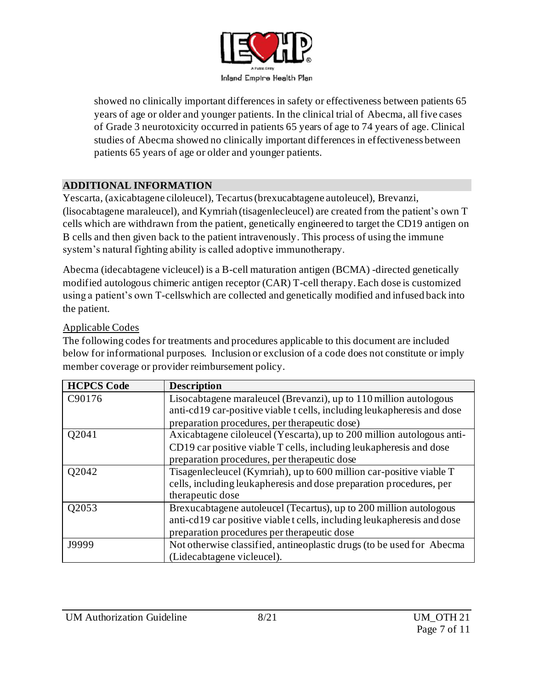

showed no clinically important differences in safety or effectiveness between patients 65 years of age or older and younger patients. In the clinical trial of Abecma, all five cases of Grade 3 neurotoxicity occurred in patients 65 years of age to 74 years of age. Clinical studies of Abecma showed no clinically important differences in effectiveness between patients 65 years of age or older and younger patients.

## **ADDITIONAL INFORMATION**

Yescarta, (axicabtagene ciloleucel), Tecartus (brexucabtagene autoleucel), Brevanzi, (lisocabtagene maraleucel), and Kymriah (tisagenlecleucel) are created from the patient's own T cells which are withdrawn from the patient, genetically engineered to target the CD19 antigen on B cells and then given back to the patient intravenously. This process of using the immune system's natural fighting ability is called adoptive immunotherapy.

Abecma (idecabtagene vicleucel) is a B-cell maturation antigen (BCMA) -directed genetically modified autologous chimeric antigen receptor (CAR) T-cell therapy. Each dose is customized using a patient's own T-cellswhich are collected and genetically modified and infused back into the patient.

## Applicable Codes

The following codes for treatments and procedures applicable to this document are included below for informational purposes. Inclusion or exclusion of a code does not constitute or imply member coverage or provider reimbursement policy.

| <b>HCPCS Code</b> | <b>Description</b>                                                      |
|-------------------|-------------------------------------------------------------------------|
| C90176            | Lisocabtagene maraleucel (Brevanzi), up to 110 million autologous       |
|                   | anti-cd19 car-positive viable t cells, including leukapheresis and dose |
|                   | preparation procedures, per therapeutic dose)                           |
| Q2041             | Axicabtagene ciloleucel (Yescarta), up to 200 million autologous anti-  |
|                   | CD19 car positive viable T cells, including leukapheresis and dose      |
|                   | preparation procedures, per therapeutic dose                            |
| Q2042             | Tisagenlecleucel (Kymriah), up to 600 million car-positive viable T     |
|                   | cells, including leukapheresis and dose preparation procedures, per     |
|                   | therapeutic dose                                                        |
| Q2053             | Brexucabtagene autoleucel (Tecartus), up to 200 million autologous      |
|                   | anti-cd19 car positive viable t cells, including leukapheresis and dose |
|                   | preparation procedures per therapeutic dose                             |
| J9999             | Not otherwise classified, antineoplastic drugs (to be used for Abecma   |
|                   | (Lidecabtagene vicleucel).                                              |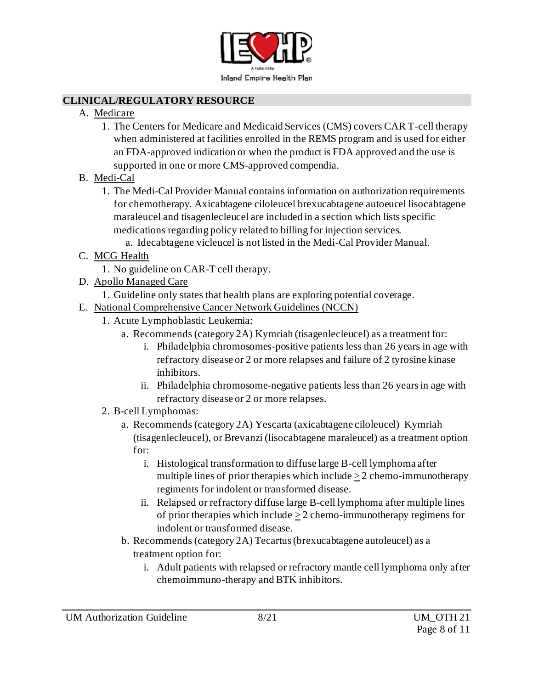

#### **CLINICAL/REGULATORY RESOURCE**

- A. Medicare
	- 1. The Centers for Medicare and Medicaid Services (CMS) covers CAR T-cell therapy when administered at facilities enrolled in the REMS program and is used for either an FDA-approved indication or when the product is FDA approved and the use is supported in one or more CMS-approved compendia.
- B. Medi-Cal
	- 1. The Medi-Cal Provider Manual contains information on authorization requirements for chemotherapy. Axicabtagene ciloleucel brexucabtagene autoeucel lisocabtagene maraleucel and tisagenlecleucel are included in a section which lists specific medications regarding policy related to billing for injection services.
		- a. Idecabtagene vicleucel is not listed in the Medi-Cal Provider Manual.
- C. MCG Health
	- 1. No guideline on CAR-T cell therapy.
- D. Apollo Managed Care
	- 1. Guideline only states that health plans are exploring potential coverage.
- E. National Comprehensive Cancer Network Guidelines (NCCN)
	- 1. Acute Lymphoblastic Leukemia:
		- a. Recommends (category 2A) Kymriah (tisagenlecleucel) as a treatment for:
			- i. Philadelphia chromosomes-positive patients less than 26 years in age with refractory disease or 2 or more relapses and failure of 2 tyrosine kinase inhibitors.
			- ii. Philadelphia chromosome-negative patients less than 26 years in age with refractory disease or 2 or more relapses.
	- 2. B-cell Lymphomas:
		- a. Recommends (category 2A) Yescarta (axicabtagene ciloleucel) Kymriah (tisagenlecleucel), or Brevanzi (lisocabtagene maraleucel) as a treatment option for:
			- i. Histological transformation to diffuse large B-cell lymphoma after multiple lines of prior therapies which include  $\geq 2$  chemo-immunotherapy regiments for indolent or transformed disease.
			- ii. Relapsed or refractory diffuse large B-cell lymphoma after multiple lines of prior therapies which include > 2 chemo-immunotherapy regimens for indolent or transformed disease.
		- b. Recommends (category 2A) Tecartus (brexucabtagene autoleucel) as a treatment option for:
			- i. Adult patients with relapsed or refractory mantle cell lymphoma only after chemoimmuno-therapy and BTK inhibitors.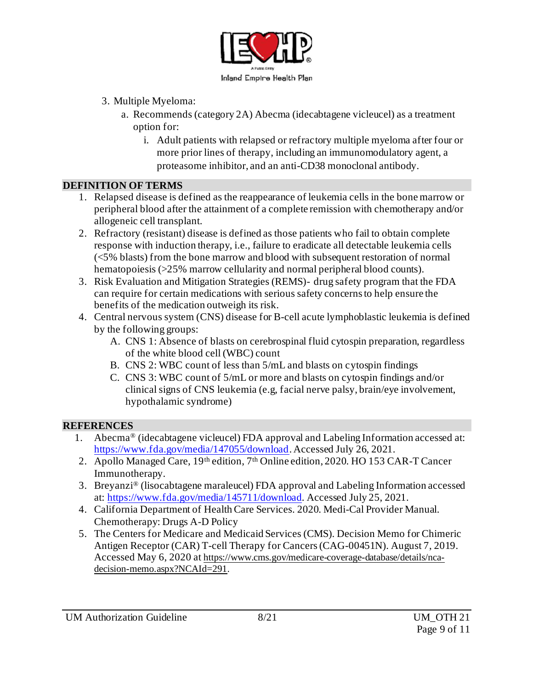

- 3. Multiple Myeloma:
	- a. Recommends (category 2A) Abecma (idecabtagene vicleucel) as a treatment option for:
		- i. Adult patients with relapsed or refractory multiple myeloma after four or more prior lines of therapy, including an immunomodulatory agent, a proteasome inhibitor, and an anti-CD38 monoclonal antibody.

#### **DEFINITION OF TERMS**

- 1. Relapsed disease is defined as the reappearance of leukemia cells in the bone marrow or peripheral blood after the attainment of a complete remission with chemotherapy and/or allogeneic cell transplant.
- 2. Refractory (resistant) disease is defined as those patients who fail to obtain complete response with induction therapy, i.e., failure to eradicate all detectable leukemia cells (<5% blasts) from the bone marrow and blood with subsequent restoration of normal hematopoiesis (>25% marrow cellularity and normal peripheral blood counts).
- 3. Risk Evaluation and Mitigation Strategies (REMS)- drug safety program that the FDA can require for certain medications with serious safety concerns to help ensure the benefits of the medication outweigh its risk.
- 4. Central nervous system (CNS) disease for B-cell acute lymphoblastic leukemia is defined by the following groups:
	- A. CNS 1: Absence of blasts on cerebrospinal fluid cytospin preparation, regardless of the white blood cell (WBC) count
	- B. CNS 2: WBC count of less than 5/mL and blasts on cytospin findings
	- C. CNS 3: WBC count of 5/mL or more and blasts on cytospin findings and/or clinical signs of CNS leukemia (e.g, facial nerve palsy, brain/eye involvement, hypothalamic syndrome)

### **REFERENCES**

- 1. Abecma® (idecabtagene vicleucel) FDA approval and Labeling Information accessed at: <https://www.fda.gov/media/147055/download>. Accessed July 26, 2021.
- 2. Apollo Managed Care, 19th edition, 7th Online edition, 2020. HO 153 CAR-T Cancer Immunotherapy.
- 3. Breyanzi® (lisocabtagene maraleucel) FDA approval and Labeling Information accessed at: [https://www.fda.gov/media/145711/download.](https://www.fda.gov/media/145711/download) Accessed July 25, 2021.
- 4. California Department of Health Care Services. 2020. Medi-Cal Provider Manual. Chemotherapy: Drugs A-D Policy
- 5. The Centers for Medicare and Medicaid Services (CMS). Decision Memo for Chimeric Antigen Receptor (CAR) T-cell Therapy for Cancers(CAG-00451N). August 7, 2019. Accessed May 6, 2020 at [https://www.cms.gov/medicare-coverage-database/details/nca](https://www.cms.gov/medicare-coverage-database/details/nca-decision-memo.aspx?NCAId=291)[decision-memo.aspx?NCAId=291](https://www.cms.gov/medicare-coverage-database/details/nca-decision-memo.aspx?NCAId=291).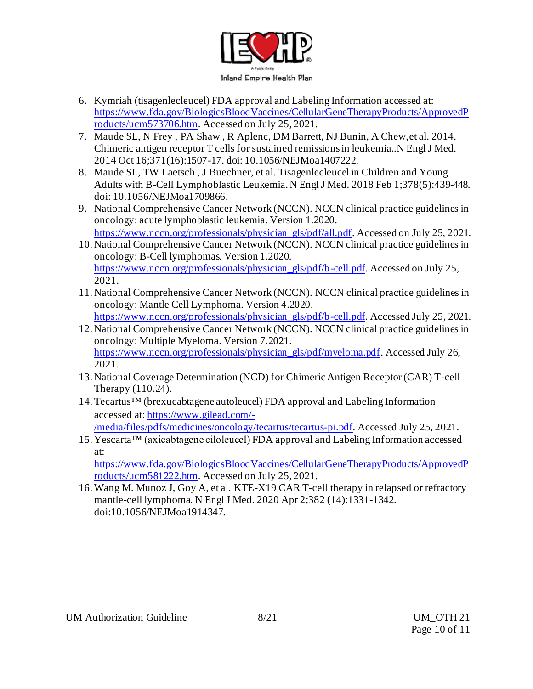

- 6. Kymriah (tisagenlecleucel) FDA approval and Labeling Information accessed at: [https://www.fda.gov/BiologicsBloodVaccines/CellularGeneTherapyProducts/ApprovedP](https://www.fda.gov/BiologicsBloodVaccines/CellularGeneTherapyProducts/ApprovedProducts/ucm573706.htm) [roducts/ucm573706.htm](https://www.fda.gov/BiologicsBloodVaccines/CellularGeneTherapyProducts/ApprovedProducts/ucm573706.htm). Accessed on July 25, 2021.
- 7. Maude SL, N Frey , PA Shaw , R Aplenc, DM Barrett, NJ Bunin, A Chew,et al. 2014. Chimeric antigen receptor T cells for sustained remissions in leukemia..N Engl J Med. 2014 Oct 16;371(16):1507-17. doi: 10.1056/NEJMoa1407222.
- 8. Maude SL, TW Laetsch , J Buechner, et al. Tisagenlecleucel in Children and Young Adults with B-Cell Lymphoblastic Leukemia. N Engl J Med. 2018 Feb 1;378(5):439-448. doi: 10.1056/NEJMoa1709866.
- 9. National Comprehensive Cancer Network (NCCN). NCCN clinical practice guidelines in oncology: acute lymphoblastic leukemia. Version 1.2020. [https://www.nccn.org/professionals/physician\\_gls/pdf/all.pdf](https://www.nccn.org/professionals/physician_gls/pdf/all.pdf). Accessed on July 25, 2021.
- 10. National Comprehensive Cancer Network (NCCN). NCCN clinical practice guidelines in oncology: B-Cell lymphomas. Version 1.2020. [https://www.nccn.org/professionals/physician\\_gls/pdf/b-cell.pdf](https://www.nccn.org/professionals/physician_gls/pdf/b-cell.pdf). Accessed on July 25, 2021.
- 11. National Comprehensive Cancer Network (NCCN). NCCN clinical practice guidelines in oncology: Mantle Cell Lymphoma. Version 4.2020. [https://www.nccn.org/professionals/physician\\_gls/pdf/b-cell.pdf](https://www.nccn.org/professionals/physician_gls/pdf/b-cell.pdf). Accessed July 25, 2021.
- 12. National Comprehensive Cancer Network (NCCN). NCCN clinical practice guidelines in oncology: Multiple Myeloma. Version 7.2021. [https://www.nccn.org/professionals/physician\\_gls/pdf/myeloma.pdf](https://www.nccn.org/professionals/physician_gls/pdf/myeloma.pdf). Accessed July 26, 2021.
- 13. National Coverage Determination (NCD) for Chimeric Antigen Receptor (CAR) T-cell Therapy (110.24).
- 14.Tecartus™ (brexucabtagene autoleucel) FDA approval and Labeling Information accessed at[: https://www.gilead.com/-](https://gcc02.safelinks.protection.outlook.com/?url=https%3A%2F%2Fwww.gilead.com%2F-%2Fmedia%2Ffiles%2Fpdfs%2Fmedicines%2Foncology%2Ftecartus%2Ftecartus-pi.pdf&data=04%7C01%7CYoshino-S%40iehp.org%7C96316ce327aa48d633ff08d89d6842a1%7Cd2b2ffa819e143fbb46de34cae5a9594%7C1%7C0%7C637432418411870464%7CUnknown%7CTWFpbGZsb3d8eyJWIjoiMC4wLjAwMDAiLCJQIjoiV2luMzIiLCJBTiI6Ik1haWwiLCJXVCI6Mn0%3D%7C1000&sdata=hYj%2FNbaDWge1s7rwgG6n8hMV%2BzDKxgydCBUfp84Rj7w%3D&reserved=0) [/media/files/pdfs/medicines/oncology/tecartus/tecartus-pi.pdf](https://gcc02.safelinks.protection.outlook.com/?url=https%3A%2F%2Fwww.gilead.com%2F-%2Fmedia%2Ffiles%2Fpdfs%2Fmedicines%2Foncology%2Ftecartus%2Ftecartus-pi.pdf&data=04%7C01%7CYoshino-S%40iehp.org%7C96316ce327aa48d633ff08d89d6842a1%7Cd2b2ffa819e143fbb46de34cae5a9594%7C1%7C0%7C637432418411870464%7CUnknown%7CTWFpbGZsb3d8eyJWIjoiMC4wLjAwMDAiLCJQIjoiV2luMzIiLCJBTiI6Ik1haWwiLCJXVCI6Mn0%3D%7C1000&sdata=hYj%2FNbaDWge1s7rwgG6n8hMV%2BzDKxgydCBUfp84Rj7w%3D&reserved=0). Accessed July 25, 2021.
- 15. Yescarta™ (axicabtagene ciloleucel) FDA approval and Labeling Information accessed at: [https://www.fda.gov/BiologicsBloodVaccines/CellularGeneTherapyProducts/ApprovedP](https://www.fda.gov/BiologicsBloodVaccines/CellularGeneTherapyProducts/ApprovedProducts/ucm581222.htm)

[roducts/ucm581222.htm](https://www.fda.gov/BiologicsBloodVaccines/CellularGeneTherapyProducts/ApprovedProducts/ucm581222.htm). Accessed on July 25, 2021.

16.Wang M. Munoz J, Goy A, et al. KTE-X19 CAR T-cell therapy in relapsed or refractory mantle-cell lymphoma. N Engl J Med. 2020 Apr 2;382 (14):1331-1342. doi:10.1056/NEJMoa1914347.